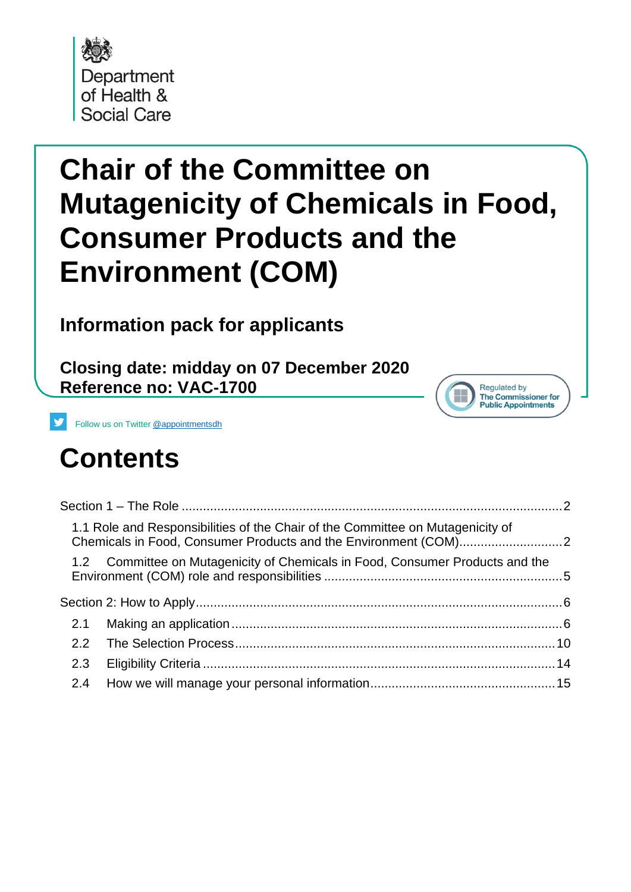

# **Chair of the Committee on Mutagenicity of Chemicals in Food, Consumer Products and the Environment (COM)**

**Information pack for applicants**

**Closing date: midday on 07 December 2020 Reference no: VAC-1700**



Follow us on Twitter [@appointmentsdh](https://twitter.com/search?q=%40appointmentsdh&src=typd)

## **Contents**

| 1.1 Role and Responsibilities of the Chair of the Committee on Mutagenicity of |  |
|--------------------------------------------------------------------------------|--|
| 1.2 Committee on Mutagenicity of Chemicals in Food, Consumer Products and the  |  |
|                                                                                |  |
| 2.1                                                                            |  |
| $2.2^{\circ}$                                                                  |  |
| 2.3                                                                            |  |
| 2.4                                                                            |  |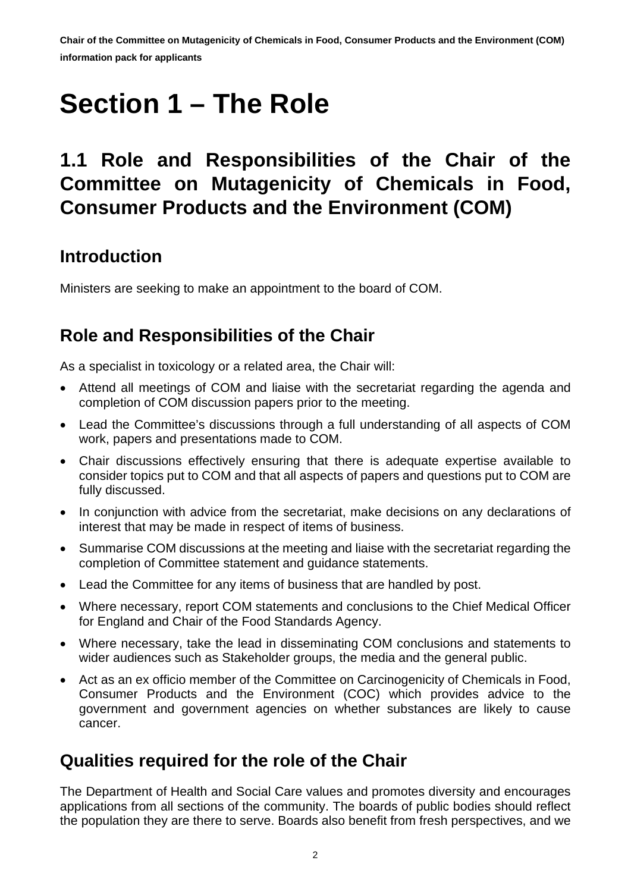# <span id="page-1-0"></span>**Section 1 – The Role**

## <span id="page-1-1"></span>**1.1 Role and Responsibilities of the Chair of the Committee on Mutagenicity of Chemicals in Food, Consumer Products and the Environment (COM)**

#### **Introduction**

Ministers are seeking to make an appointment to the board of COM.

#### **Role and Responsibilities of the Chair**

As a specialist in toxicology or a related area, the Chair will:

- Attend all meetings of COM and liaise with the secretariat regarding the agenda and completion of COM discussion papers prior to the meeting.
- Lead the Committee's discussions through a full understanding of all aspects of COM work, papers and presentations made to COM.
- Chair discussions effectively ensuring that there is adequate expertise available to consider topics put to COM and that all aspects of papers and questions put to COM are fully discussed.
- In conjunction with advice from the secretariat, make decisions on any declarations of interest that may be made in respect of items of business.
- Summarise COM discussions at the meeting and liaise with the secretariat regarding the completion of Committee statement and guidance statements.
- Lead the Committee for any items of business that are handled by post.
- Where necessary, report COM statements and conclusions to the Chief Medical Officer for England and Chair of the Food Standards Agency.
- Where necessary, take the lead in disseminating COM conclusions and statements to wider audiences such as Stakeholder groups, the media and the general public.
- Act as an ex officio member of the Committee on Carcinogenicity of Chemicals in Food, Consumer Products and the Environment (COC) which provides advice to the government and government agencies on whether substances are likely to cause cancer.

#### **Qualities required for the role of the Chair**

The Department of Health and Social Care values and promotes diversity and encourages applications from all sections of the community. The boards of public bodies should reflect the population they are there to serve. Boards also benefit from fresh perspectives, and we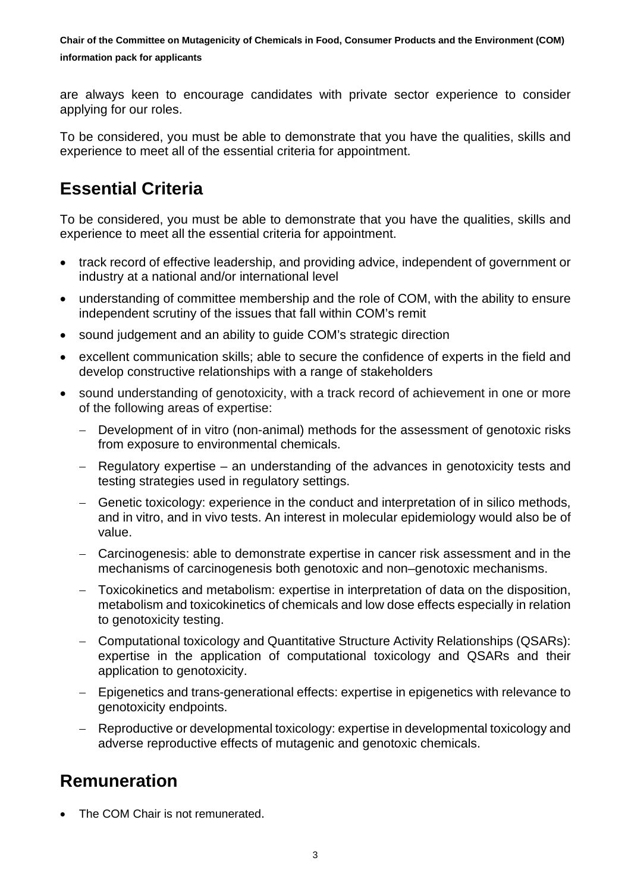are always keen to encourage candidates with private sector experience to consider applying for our roles.

To be considered, you must be able to demonstrate that you have the qualities, skills and experience to meet all of the essential criteria for appointment.

#### **Essential Criteria**

To be considered, you must be able to demonstrate that you have the qualities, skills and experience to meet all the essential criteria for appointment.

- track record of effective leadership, and providing advice, independent of government or industry at a national and/or international level
- understanding of committee membership and the role of COM, with the ability to ensure independent scrutiny of the issues that fall within COM's remit
- sound judgement and an ability to guide COM's strategic direction
- excellent communication skills; able to secure the confidence of experts in the field and develop constructive relationships with a range of stakeholders
- sound understanding of genotoxicity, with a track record of achievement in one or more of the following areas of expertise:
	- − Development of in vitro (non-animal) methods for the assessment of genotoxic risks from exposure to environmental chemicals.
	- − Regulatory expertise an understanding of the advances in genotoxicity tests and testing strategies used in regulatory settings.
	- − Genetic toxicology: experience in the conduct and interpretation of in silico methods, and in vitro, and in vivo tests. An interest in molecular epidemiology would also be of value.
	- − Carcinogenesis: able to demonstrate expertise in cancer risk assessment and in the mechanisms of carcinogenesis both genotoxic and non–genotoxic mechanisms.
	- − Toxicokinetics and metabolism: expertise in interpretation of data on the disposition, metabolism and toxicokinetics of chemicals and low dose effects especially in relation to genotoxicity testing.
	- − Computational toxicology and Quantitative Structure Activity Relationships (QSARs): expertise in the application of computational toxicology and QSARs and their application to genotoxicity.
	- − Epigenetics and trans-generational effects: expertise in epigenetics with relevance to genotoxicity endpoints.
	- − Reproductive or developmental toxicology: expertise in developmental toxicology and adverse reproductive effects of mutagenic and genotoxic chemicals.

#### **Remuneration**

The COM Chair is not remunerated.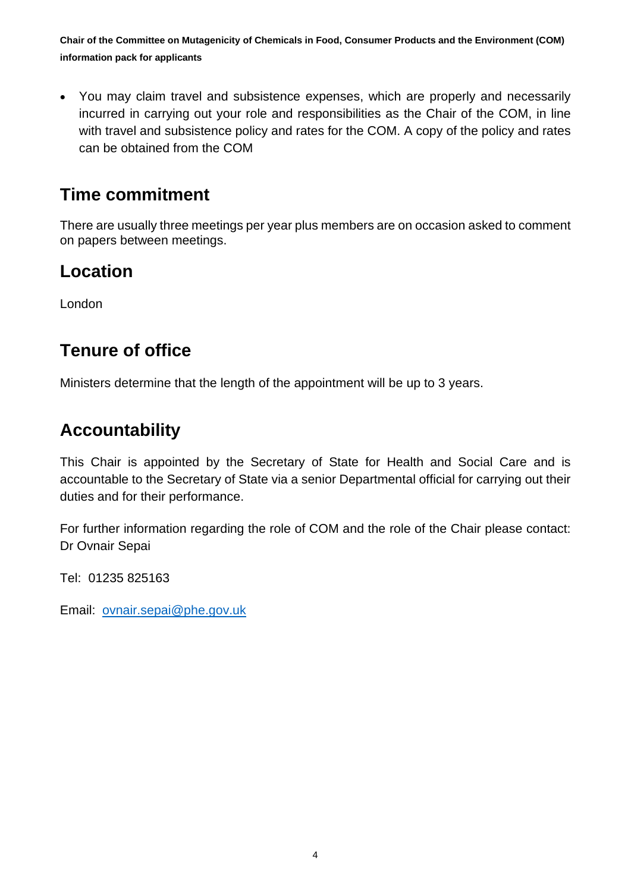• You may claim travel and subsistence expenses, which are properly and necessarily incurred in carrying out your role and responsibilities as the Chair of the COM, in line with travel and subsistence policy and rates for the COM. A copy of the policy and rates can be obtained from the COM

#### **Time commitment**

There are usually three meetings per year plus members are on occasion asked to comment on papers between meetings.

#### **Location**

London

#### **Tenure of office**

Ministers determine that the length of the appointment will be up to 3 years.

#### **Accountability**

This Chair is appointed by the Secretary of State for Health and Social Care and is accountable to the Secretary of State via a senior Departmental official for carrying out their duties and for their performance.

For further information regarding the role of COM and the role of the Chair please contact: Dr Ovnair Sepai

Tel: 01235 825163

Email: [ovnair.sepai@phe.gov.uk](mailto:ovnair.sepai@phe.gov.uk)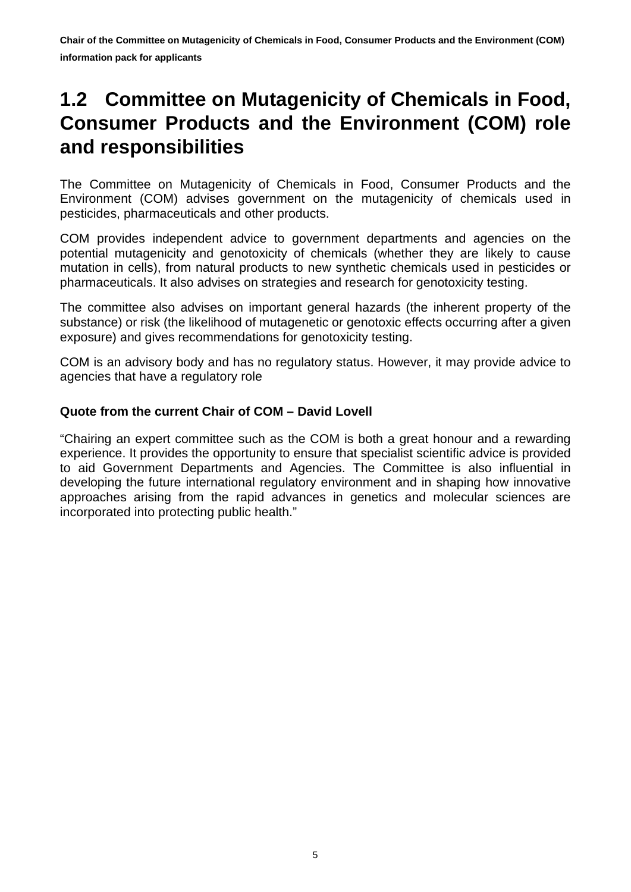## <span id="page-4-0"></span>**1.2 Committee on Mutagenicity of Chemicals in Food, Consumer Products and the Environment (COM) role and responsibilities**

The Committee on Mutagenicity of Chemicals in Food, Consumer Products and the Environment (COM) advises government on the mutagenicity of chemicals used in pesticides, pharmaceuticals and other products.

COM provides independent advice to government departments and agencies on the potential mutagenicity and genotoxicity of chemicals (whether they are likely to cause mutation in cells), from natural products to new synthetic chemicals used in pesticides or pharmaceuticals. It also advises on strategies and research for genotoxicity testing.

The committee also advises on important general hazards (the inherent property of the substance) or risk (the likelihood of mutagenetic or genotoxic effects occurring after a given exposure) and gives recommendations for genotoxicity testing.

COM is an advisory body and has no regulatory status. However, it may provide advice to agencies that have a regulatory role

#### **Quote from the current Chair of COM – David Lovell**

"Chairing an expert committee such as the COM is both a great honour and a rewarding experience. It provides the opportunity to ensure that specialist scientific advice is provided to aid Government Departments and Agencies. The Committee is also influential in developing the future international regulatory environment and in shaping how innovative approaches arising from the rapid advances in genetics and molecular sciences are incorporated into protecting public health."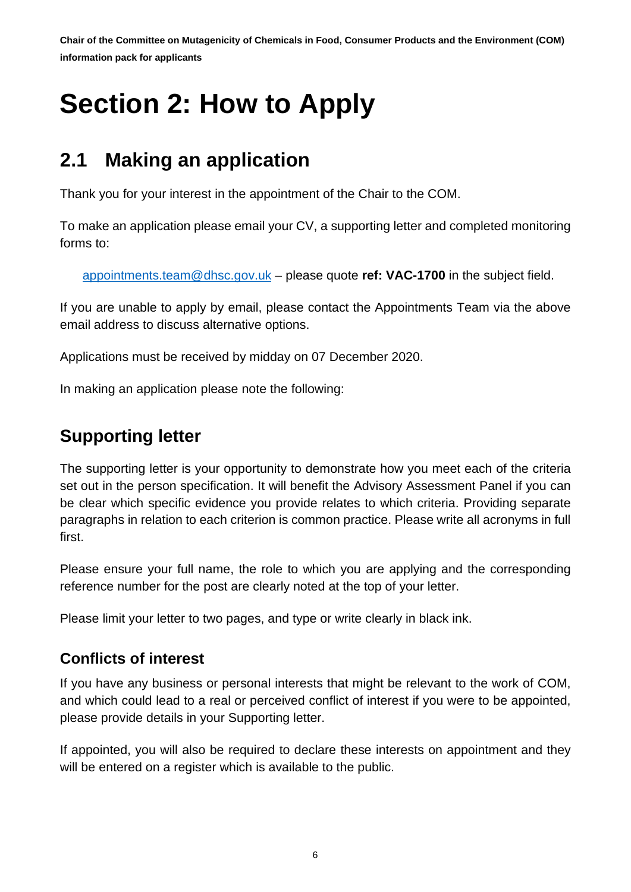# <span id="page-5-0"></span>**Section 2: How to Apply**

## <span id="page-5-1"></span>**2.1 Making an application**

Thank you for your interest in the appointment of the Chair to the COM.

To make an application please email your CV, a supporting letter and completed monitoring forms to:

[appointments.team@dhsc.gov.uk](mailto:appointments.team@dhsc.gov.uk) – please quote **ref: VAC-1700** in the subject field.

If you are unable to apply by email, please contact the Appointments Team via the above email address to discuss alternative options.

Applications must be received by midday on 07 December 2020.

In making an application please note the following:

#### **Supporting letter**

The supporting letter is your opportunity to demonstrate how you meet each of the criteria set out in the person specification. It will benefit the Advisory Assessment Panel if you can be clear which specific evidence you provide relates to which criteria. Providing separate paragraphs in relation to each criterion is common practice. Please write all acronyms in full first.

Please ensure your full name, the role to which you are applying and the corresponding reference number for the post are clearly noted at the top of your letter.

Please limit your letter to two pages, and type or write clearly in black ink.

#### **Conflicts of interest**

If you have any business or personal interests that might be relevant to the work of COM, and which could lead to a real or perceived conflict of interest if you were to be appointed, please provide details in your Supporting letter.

If appointed, you will also be required to declare these interests on appointment and they will be entered on a register which is available to the public.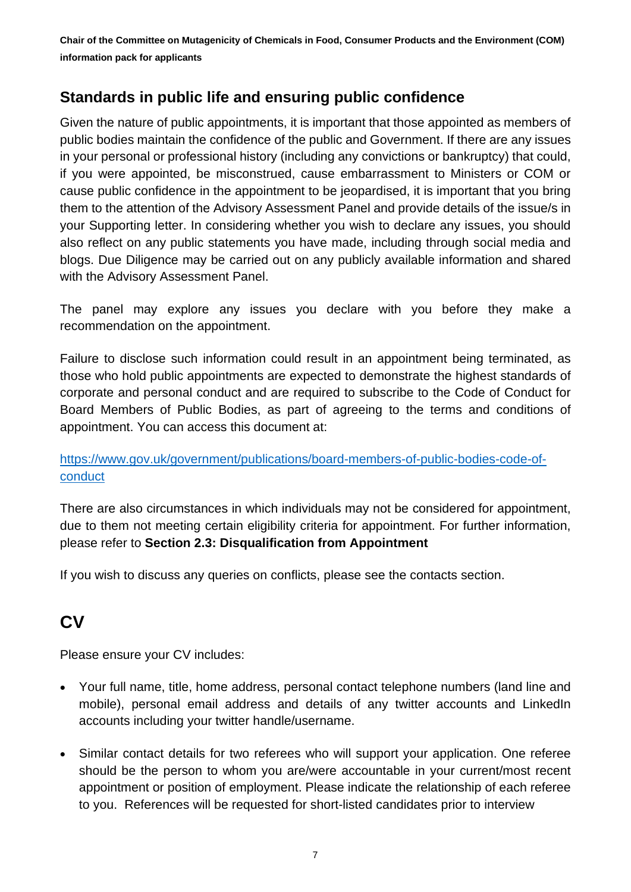#### **Standards in public life and ensuring public confidence**

Given the nature of public appointments, it is important that those appointed as members of public bodies maintain the confidence of the public and Government. If there are any issues in your personal or professional history (including any convictions or bankruptcy) that could, if you were appointed, be misconstrued, cause embarrassment to Ministers or COM or cause public confidence in the appointment to be jeopardised, it is important that you bring them to the attention of the Advisory Assessment Panel and provide details of the issue/s in your Supporting letter. In considering whether you wish to declare any issues, you should also reflect on any public statements you have made, including through social media and blogs. Due Diligence may be carried out on any publicly available information and shared with the Advisory Assessment Panel.

The panel may explore any issues you declare with you before they make a recommendation on the appointment.

Failure to disclose such information could result in an appointment being terminated, as those who hold public appointments are expected to demonstrate the highest standards of corporate and personal conduct and are required to subscribe to the Code of Conduct for Board Members of Public Bodies, as part of agreeing to the terms and conditions of appointment. You can access this document at:

#### [https://www.gov.uk/government/publications/board-members-of-public-bodies-code-of](https://www.gov.uk/government/publications/board-members-of-public-bodies-code-of-conduct)[conduct](https://www.gov.uk/government/publications/board-members-of-public-bodies-code-of-conduct)

There are also circumstances in which individuals may not be considered for appointment, due to them not meeting certain eligibility criteria for appointment. For further information, please refer to **Section 2.3: Disqualification from Appointment**

If you wish to discuss any queries on conflicts, please see the contacts section.

### **CV**

Please ensure your CV includes:

- Your full name, title, home address, personal contact telephone numbers (land line and mobile), personal email address and details of any twitter accounts and LinkedIn accounts including your twitter handle/username.
- Similar contact details for two referees who will support your application. One referee should be the person to whom you are/were accountable in your current/most recent appointment or position of employment. Please indicate the relationship of each referee to you. References will be requested for short-listed candidates prior to interview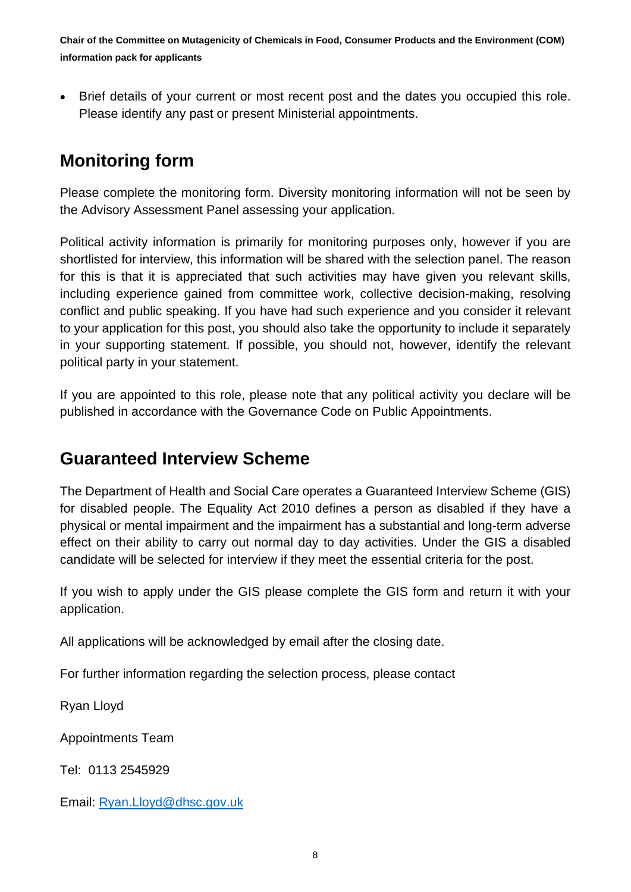• Brief details of your current or most recent post and the dates you occupied this role. Please identify any past or present Ministerial appointments.

#### **Monitoring form**

Please complete the monitoring form. Diversity monitoring information will not be seen by the Advisory Assessment Panel assessing your application.

Political activity information is primarily for monitoring purposes only, however if you are shortlisted for interview, this information will be shared with the selection panel. The reason for this is that it is appreciated that such activities may have given you relevant skills, including experience gained from committee work, collective decision-making, resolving conflict and public speaking. If you have had such experience and you consider it relevant to your application for this post, you should also take the opportunity to include it separately in your supporting statement. If possible, you should not, however, identify the relevant political party in your statement.

If you are appointed to this role, please note that any political activity you declare will be published in accordance with the Governance Code on Public Appointments.

#### **Guaranteed Interview Scheme**

The Department of Health and Social Care operates a Guaranteed Interview Scheme (GIS) for disabled people. The Equality Act 2010 defines a person as disabled if they have a physical or mental impairment and the impairment has a substantial and long-term adverse effect on their ability to carry out normal day to day activities. Under the GIS a disabled candidate will be selected for interview if they meet the essential criteria for the post.

If you wish to apply under the GIS please complete the GIS form and return it with your application.

All applications will be acknowledged by email after the closing date.

For further information regarding the selection process, please contact

Ryan Lloyd

Appointments Team

Tel: 0113 2545929

Email: [Ryan.Lloyd@dhsc.gov.uk](mailto:Ryan.Lloyd@dhsc.gov.uk)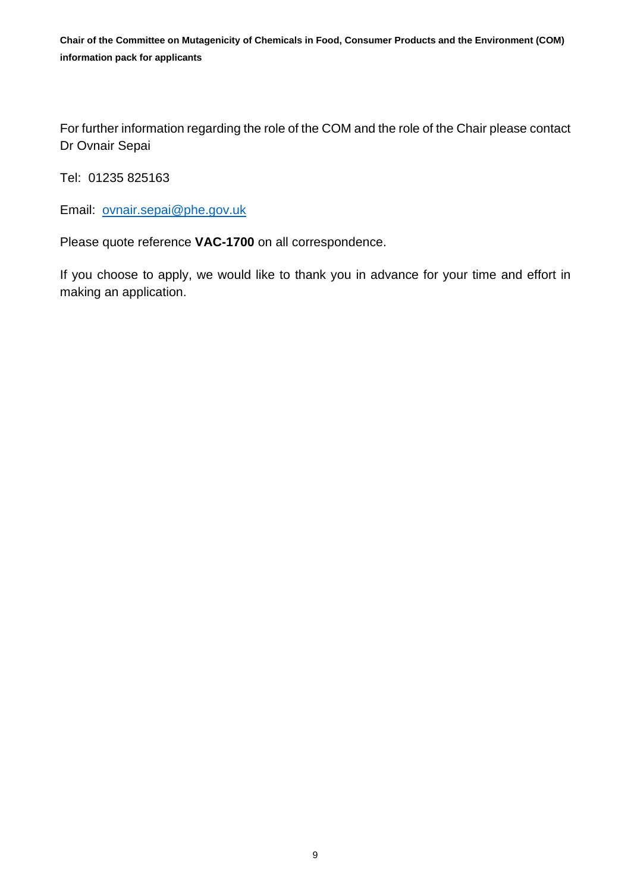For further information regarding the role of the COM and the role of the Chair please contact Dr Ovnair Sepai

Tel: 01235 825163

Email: [ovnair.sepai@phe.gov.uk](mailto:ovnair.sepai@phe.gov.uk)

Please quote reference **VAC-1700** on all correspondence.

If you choose to apply, we would like to thank you in advance for your time and effort in making an application.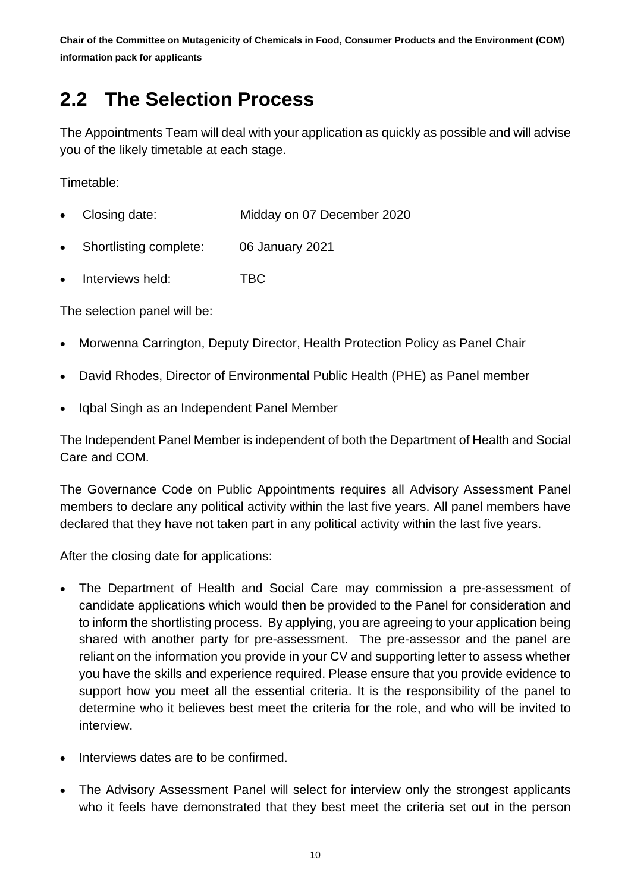## <span id="page-9-0"></span>**2.2 The Selection Process**

The Appointments Team will deal with your application as quickly as possible and will advise you of the likely timetable at each stage.

Timetable:

- Closing date: Midday on 07 December 2020
- Shortlisting complete: 06 January 2021
- Interviews held: TBC

The selection panel will be:

- Morwenna Carrington, Deputy Director, Health Protection Policy as Panel Chair
- David Rhodes, Director of Environmental Public Health (PHE) as Panel member
- Iqbal Singh as an Independent Panel Member

The Independent Panel Member is independent of both the Department of Health and Social Care and COM.

The Governance Code on Public Appointments requires all Advisory Assessment Panel members to declare any political activity within the last five years. All panel members have declared that they have not taken part in any political activity within the last five years.

After the closing date for applications:

- The Department of Health and Social Care may commission a pre-assessment of candidate applications which would then be provided to the Panel for consideration and to inform the shortlisting process. By applying, you are agreeing to your application being shared with another party for pre-assessment. The pre-assessor and the panel are reliant on the information you provide in your CV and supporting letter to assess whether you have the skills and experience required. Please ensure that you provide evidence to support how you meet all the essential criteria. It is the responsibility of the panel to determine who it believes best meet the criteria for the role, and who will be invited to interview.
- Interviews dates are to be confirmed.
- The Advisory Assessment Panel will select for interview only the strongest applicants who it feels have demonstrated that they best meet the criteria set out in the person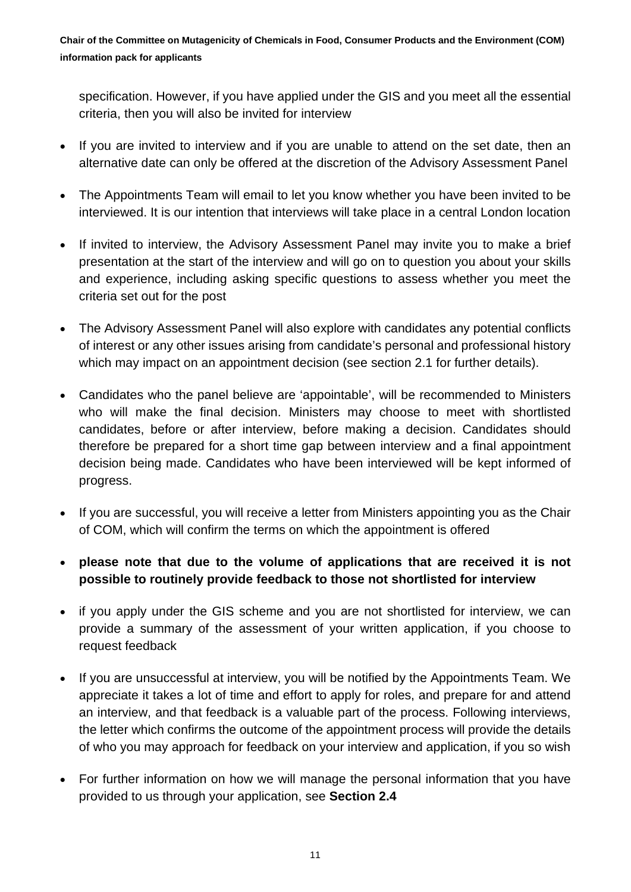specification. However, if you have applied under the GIS and you meet all the essential criteria, then you will also be invited for interview

- If you are invited to interview and if you are unable to attend on the set date, then an alternative date can only be offered at the discretion of the Advisory Assessment Panel
- The Appointments Team will email to let you know whether you have been invited to be interviewed. It is our intention that interviews will take place in a central London location
- If invited to interview, the Advisory Assessment Panel may invite you to make a brief presentation at the start of the interview and will go on to question you about your skills and experience, including asking specific questions to assess whether you meet the criteria set out for the post
- The Advisory Assessment Panel will also explore with candidates any potential conflicts of interest or any other issues arising from candidate's personal and professional history which may impact on an appointment decision (see section 2.1 for further details).
- Candidates who the panel believe are 'appointable', will be recommended to Ministers who will make the final decision. Ministers may choose to meet with shortlisted candidates, before or after interview, before making a decision. Candidates should therefore be prepared for a short time gap between interview and a final appointment decision being made. Candidates who have been interviewed will be kept informed of progress.
- If you are successful, you will receive a letter from Ministers appointing you as the Chair of COM, which will confirm the terms on which the appointment is offered
- **please note that due to the volume of applications that are received it is not possible to routinely provide feedback to those not shortlisted for interview**
- if you apply under the GIS scheme and you are not shortlisted for interview, we can provide a summary of the assessment of your written application, if you choose to request feedback
- If you are unsuccessful at interview, you will be notified by the Appointments Team. We appreciate it takes a lot of time and effort to apply for roles, and prepare for and attend an interview, and that feedback is a valuable part of the process. Following interviews, the letter which confirms the outcome of the appointment process will provide the details of who you may approach for feedback on your interview and application, if you so wish
- For further information on how we will manage the personal information that you have provided to us through your application, see **Section 2.4**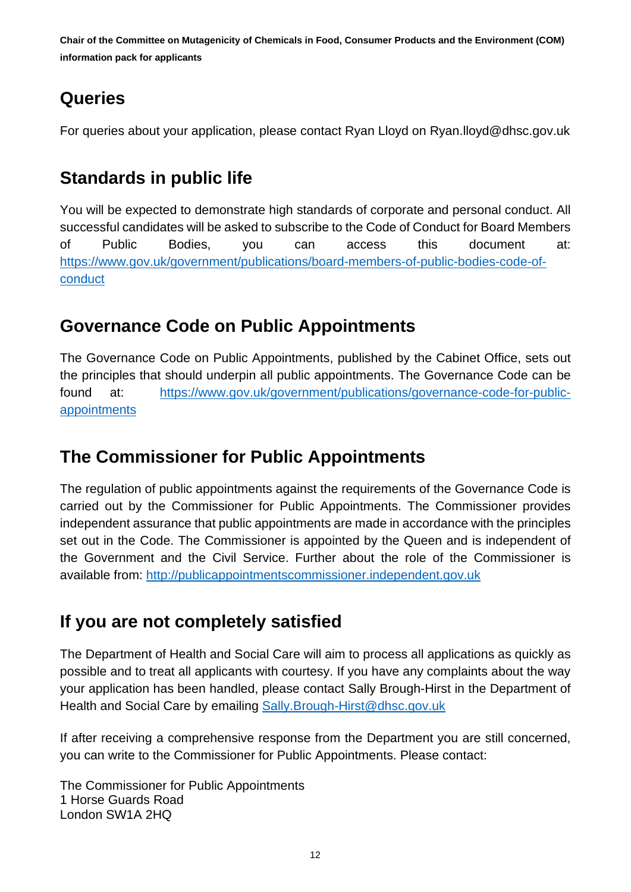### **Queries**

For queries about your application, please contact Ryan Lloyd on Ryan.lloyd@dhsc.gov.uk

### **Standards in public life**

You will be expected to demonstrate high standards of corporate and personal conduct. All successful candidates will be asked to subscribe to the Code of Conduct for Board Members of Public Bodies, you can access this document at: [https://www.gov.uk/government/publications/board-members-of-public-bodies-code-of](https://www.gov.uk/government/publications/board-members-of-public-bodies-code-of-conduct)[conduct](https://www.gov.uk/government/publications/board-members-of-public-bodies-code-of-conduct)

#### **Governance Code on Public Appointments**

The Governance Code on Public Appointments, published by the Cabinet Office, sets out the principles that should underpin all public appointments. The Governance Code can be found at: [https://www.gov.uk/government/publications/governance-code-for-public](https://www.gov.uk/government/publications/governance-code-for-public-appointments)[appointments](https://www.gov.uk/government/publications/governance-code-for-public-appointments)

### **The Commissioner for Public Appointments**

The regulation of public appointments against the requirements of the Governance Code is carried out by the Commissioner for Public Appointments. The Commissioner provides independent assurance that public appointments are made in accordance with the principles set out in the Code. The Commissioner is appointed by the Queen and is independent of the Government and the Civil Service. Further about the role of the Commissioner is available from: [http://publicappointmentscommissioner.independent.gov.uk](http://publicappointmentscommissioner.independent.gov.uk/) 

#### **If you are not completely satisfied**

The Department of Health and Social Care will aim to process all applications as quickly as possible and to treat all applicants with courtesy. If you have any complaints about the way your application has been handled, please contact Sally Brough-Hirst in the Department of Health and Social Care by emailing [Sally.Brough-Hirst@dhsc.gov.uk](mailto:Sally.Brough-Hirst@dhsc.gov.uk)

If after receiving a comprehensive response from the Department you are still concerned, you can write to the Commissioner for Public Appointments. Please contact:

The Commissioner for Public Appointments 1 Horse Guards Road London SW1A 2HQ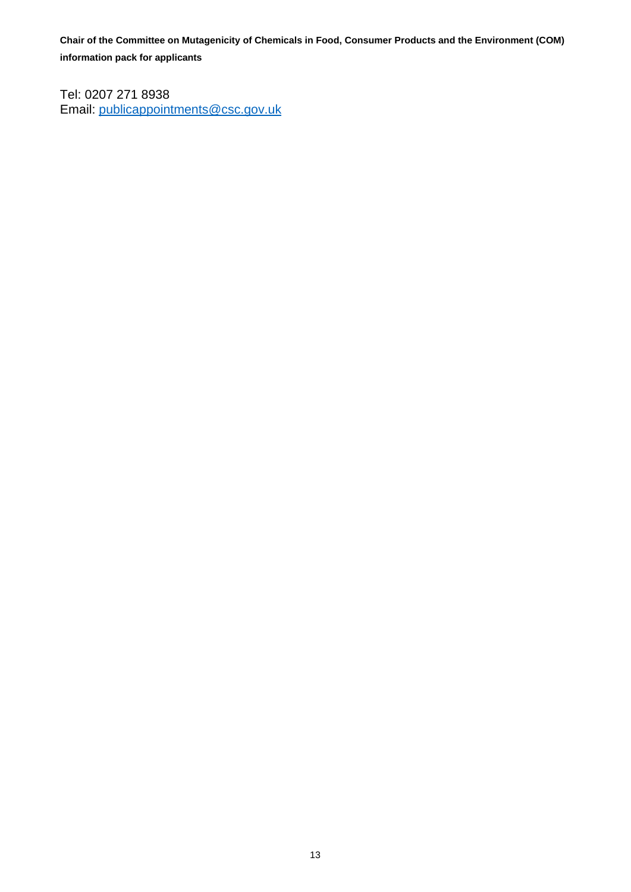Tel: 0207 271 8938 Email: [publicappointments@csc.gov.uk](mailto:publicappointments@csc.gsi.gov.uk)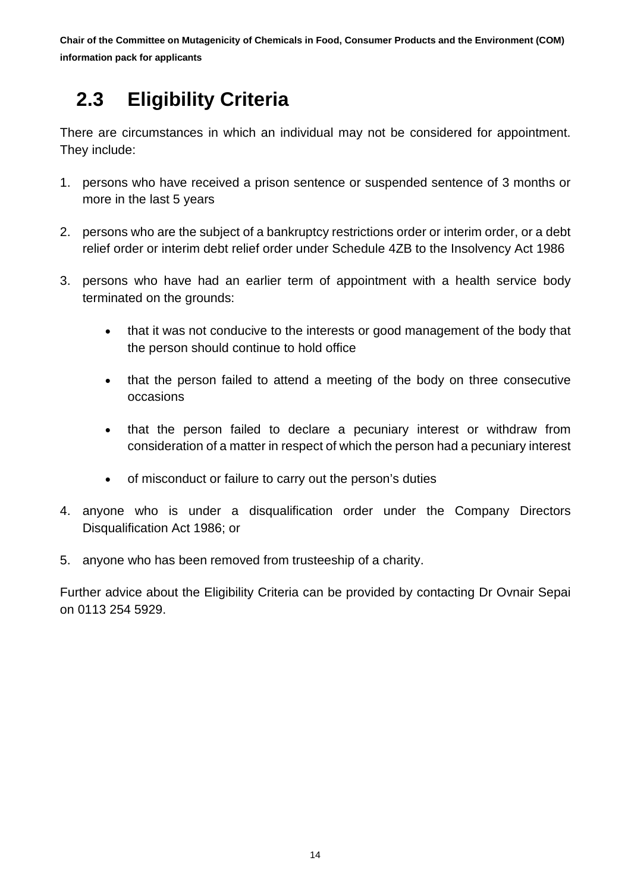## <span id="page-13-0"></span> **2.3 Eligibility Criteria**

There are circumstances in which an individual may not be considered for appointment. They include:

- 1. persons who have received a prison sentence or suspended sentence of 3 months or more in the last 5 years
- 2. persons who are the subject of a bankruptcy restrictions order or interim order, or a debt relief order or interim debt relief order under Schedule 4ZB to the Insolvency Act 1986
- 3. persons who have had an earlier term of appointment with a health service body terminated on the grounds:
	- that it was not conducive to the interests or good management of the body that the person should continue to hold office
	- that the person failed to attend a meeting of the body on three consecutive occasions
	- that the person failed to declare a pecuniary interest or withdraw from consideration of a matter in respect of which the person had a pecuniary interest
	- of misconduct or failure to carry out the person's duties
- 4. anyone who is under a disqualification order under the Company Directors Disqualification Act 1986; or
- 5. anyone who has been removed from trusteeship of a charity.

Further advice about the Eligibility Criteria can be provided by contacting Dr Ovnair Sepai on 0113 254 5929.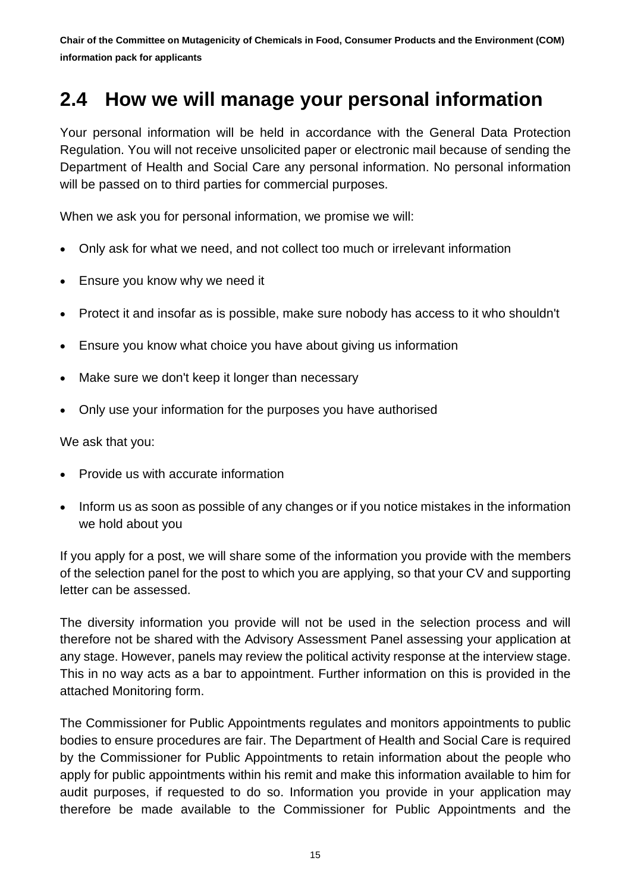### <span id="page-14-0"></span>**2.4 How we will manage your personal information**

Your personal information will be held in accordance with the General Data Protection Regulation. You will not receive unsolicited paper or electronic mail because of sending the Department of Health and Social Care any personal information. No personal information will be passed on to third parties for commercial purposes.

When we ask you for personal information, we promise we will:

- Only ask for what we need, and not collect too much or irrelevant information
- Ensure you know why we need it
- Protect it and insofar as is possible, make sure nobody has access to it who shouldn't
- Ensure you know what choice you have about giving us information
- Make sure we don't keep it longer than necessary
- Only use your information for the purposes you have authorised

We ask that you:

- Provide us with accurate information
- Inform us as soon as possible of any changes or if you notice mistakes in the information we hold about you

If you apply for a post, we will share some of the information you provide with the members of the selection panel for the post to which you are applying, so that your CV and supporting letter can be assessed.

The diversity information you provide will not be used in the selection process and will therefore not be shared with the Advisory Assessment Panel assessing your application at any stage. However, panels may review the political activity response at the interview stage. This in no way acts as a bar to appointment. Further information on this is provided in the attached Monitoring form.

The Commissioner for Public Appointments regulates and monitors appointments to public bodies to ensure procedures are fair. The Department of Health and Social Care is required by the Commissioner for Public Appointments to retain information about the people who apply for public appointments within his remit and make this information available to him for audit purposes, if requested to do so. Information you provide in your application may therefore be made available to the Commissioner for Public Appointments and the